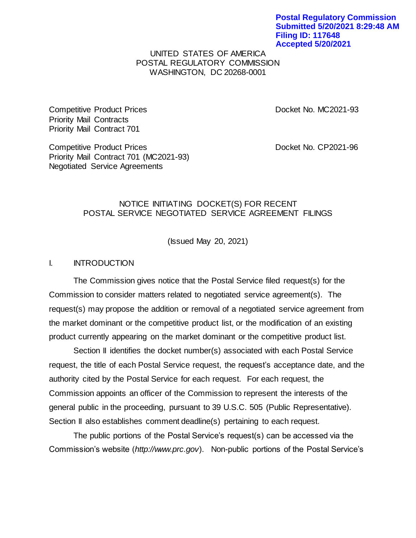## UNITED STATES OF AMERICA POSTAL REGULATORY COMMISSION WASHINGTON, DC 20268-0001

Competitive Product Prices **Docket No. MC2021-93** Priority Mail Contracts Priority Mail Contract 701

Competitive Product Prices **Docket No. CP2021-96** Priority Mail Contract 701 (MC2021-93) Negotiated Service Agreements

## NOTICE INITIATING DOCKET(S) FOR RECENT POSTAL SERVICE NEGOTIATED SERVICE AGREEMENT FILINGS

(Issued May 20, 2021)

## I. INTRODUCTION

The Commission gives notice that the Postal Service filed request(s) for the Commission to consider matters related to negotiated service agreement(s). The request(s) may propose the addition or removal of a negotiated service agreement from the market dominant or the competitive product list, or the modification of an existing product currently appearing on the market dominant or the competitive product list.

Section II identifies the docket number(s) associated with each Postal Service request, the title of each Postal Service request, the request's acceptance date, and the authority cited by the Postal Service for each request. For each request, the Commission appoints an officer of the Commission to represent the interests of the general public in the proceeding, pursuant to 39 U.S.C. 505 (Public Representative). Section II also establishes comment deadline(s) pertaining to each request.

The public portions of the Postal Service's request(s) can be accessed via the Commission's website (*http://www.prc.gov*). Non-public portions of the Postal Service's